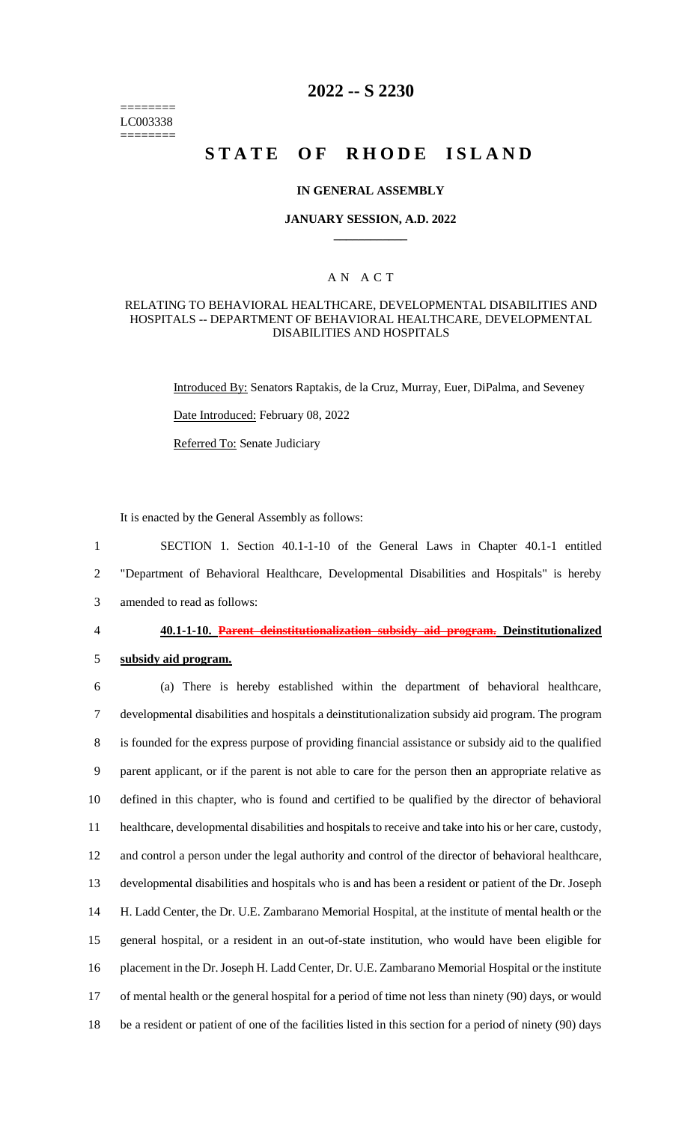======== LC003338 ========

# **2022 -- S 2230**

# **STATE OF RHODE ISLAND**

#### **IN GENERAL ASSEMBLY**

#### **JANUARY SESSION, A.D. 2022 \_\_\_\_\_\_\_\_\_\_\_\_**

## A N A C T

#### RELATING TO BEHAVIORAL HEALTHCARE, DEVELOPMENTAL DISABILITIES AND HOSPITALS -- DEPARTMENT OF BEHAVIORAL HEALTHCARE, DEVELOPMENTAL DISABILITIES AND HOSPITALS

Introduced By: Senators Raptakis, de la Cruz, Murray, Euer, DiPalma, and Seveney Date Introduced: February 08, 2022 Referred To: Senate Judiciary

It is enacted by the General Assembly as follows:

1 SECTION 1. Section 40.1-1-10 of the General Laws in Chapter 40.1-1 entitled 2 "Department of Behavioral Healthcare, Developmental Disabilities and Hospitals" is hereby 3 amended to read as follows:

4 **40.1-1-10. Parent deinstitutionalization subsidy aid program. Deinstitutionalized** 

5 **subsidy aid program.**

 (a) There is hereby established within the department of behavioral healthcare, developmental disabilities and hospitals a deinstitutionalization subsidy aid program. The program is founded for the express purpose of providing financial assistance or subsidy aid to the qualified parent applicant, or if the parent is not able to care for the person then an appropriate relative as defined in this chapter, who is found and certified to be qualified by the director of behavioral healthcare, developmental disabilities and hospitals to receive and take into his or her care, custody, and control a person under the legal authority and control of the director of behavioral healthcare, developmental disabilities and hospitals who is and has been a resident or patient of the Dr. Joseph H. Ladd Center, the Dr. U.E. Zambarano Memorial Hospital, at the institute of mental health or the general hospital, or a resident in an out-of-state institution, who would have been eligible for placement in the Dr. Joseph H. Ladd Center, Dr. U.E. Zambarano Memorial Hospital or the institute of mental health or the general hospital for a period of time not less than ninety (90) days, or would be a resident or patient of one of the facilities listed in this section for a period of ninety (90) days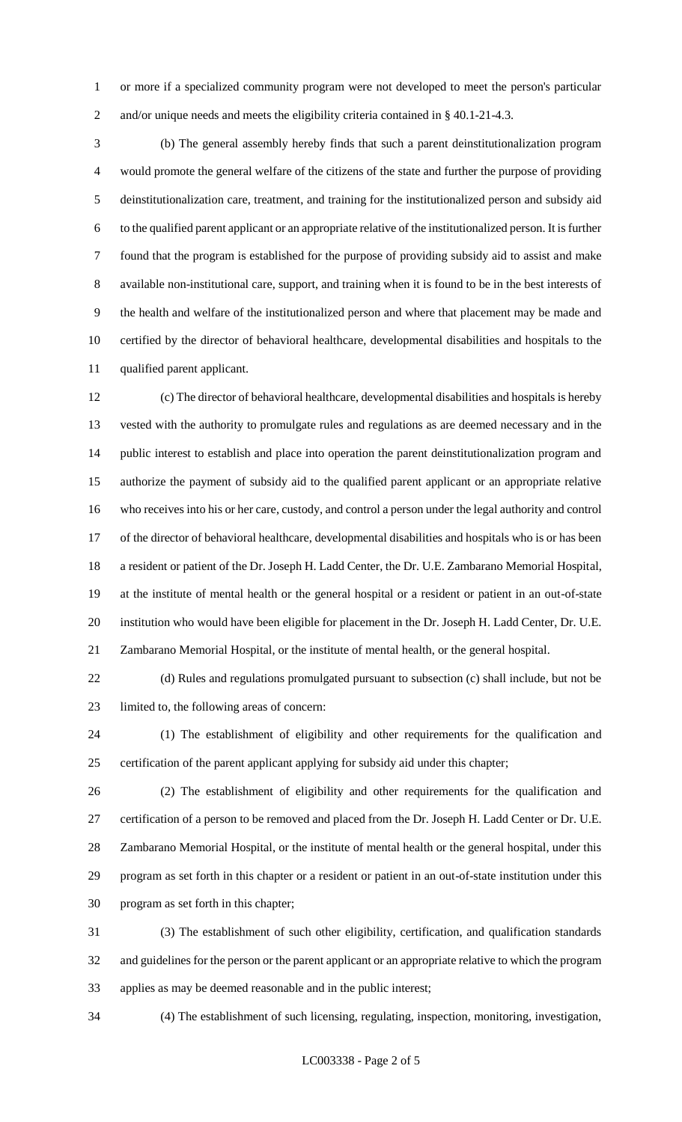or more if a specialized community program were not developed to meet the person's particular 2 and/or unique needs and meets the eligibility criteria contained in § 40.1-21-4.3.

 (b) The general assembly hereby finds that such a parent deinstitutionalization program would promote the general welfare of the citizens of the state and further the purpose of providing deinstitutionalization care, treatment, and training for the institutionalized person and subsidy aid to the qualified parent applicant or an appropriate relative of the institutionalized person. It is further found that the program is established for the purpose of providing subsidy aid to assist and make available non-institutional care, support, and training when it is found to be in the best interests of the health and welfare of the institutionalized person and where that placement may be made and certified by the director of behavioral healthcare, developmental disabilities and hospitals to the qualified parent applicant.

 (c) The director of behavioral healthcare, developmental disabilities and hospitals is hereby vested with the authority to promulgate rules and regulations as are deemed necessary and in the public interest to establish and place into operation the parent deinstitutionalization program and authorize the payment of subsidy aid to the qualified parent applicant or an appropriate relative who receives into his or her care, custody, and control a person under the legal authority and control of the director of behavioral healthcare, developmental disabilities and hospitals who is or has been a resident or patient of the Dr. Joseph H. Ladd Center, the Dr. U.E. Zambarano Memorial Hospital, at the institute of mental health or the general hospital or a resident or patient in an out-of-state institution who would have been eligible for placement in the Dr. Joseph H. Ladd Center, Dr. U.E. Zambarano Memorial Hospital, or the institute of mental health, or the general hospital.

 (d) Rules and regulations promulgated pursuant to subsection (c) shall include, but not be limited to, the following areas of concern:

 (1) The establishment of eligibility and other requirements for the qualification and certification of the parent applicant applying for subsidy aid under this chapter;

 (2) The establishment of eligibility and other requirements for the qualification and certification of a person to be removed and placed from the Dr. Joseph H. Ladd Center or Dr. U.E. Zambarano Memorial Hospital, or the institute of mental health or the general hospital, under this program as set forth in this chapter or a resident or patient in an out-of-state institution under this program as set forth in this chapter;

 (3) The establishment of such other eligibility, certification, and qualification standards and guidelines for the person or the parent applicant or an appropriate relative to which the program applies as may be deemed reasonable and in the public interest;

(4) The establishment of such licensing, regulating, inspection, monitoring, investigation,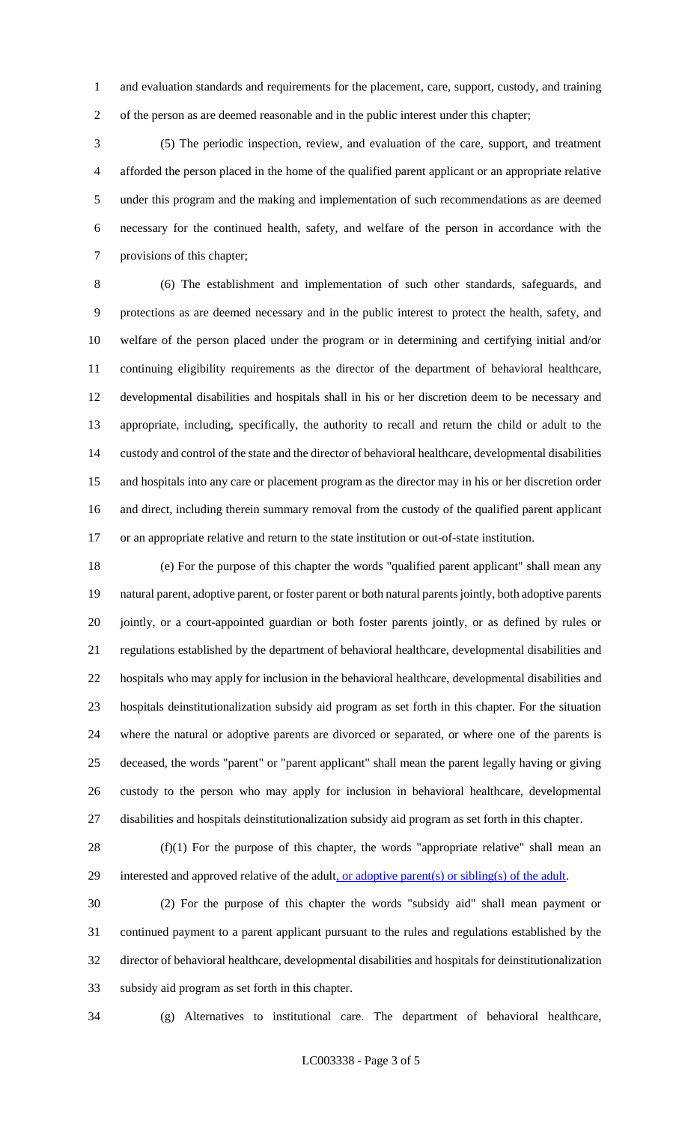and evaluation standards and requirements for the placement, care, support, custody, and training of the person as are deemed reasonable and in the public interest under this chapter;

 (5) The periodic inspection, review, and evaluation of the care, support, and treatment afforded the person placed in the home of the qualified parent applicant or an appropriate relative under this program and the making and implementation of such recommendations as are deemed necessary for the continued health, safety, and welfare of the person in accordance with the provisions of this chapter;

 (6) The establishment and implementation of such other standards, safeguards, and protections as are deemed necessary and in the public interest to protect the health, safety, and welfare of the person placed under the program or in determining and certifying initial and/or continuing eligibility requirements as the director of the department of behavioral healthcare, developmental disabilities and hospitals shall in his or her discretion deem to be necessary and appropriate, including, specifically, the authority to recall and return the child or adult to the custody and control of the state and the director of behavioral healthcare, developmental disabilities and hospitals into any care or placement program as the director may in his or her discretion order and direct, including therein summary removal from the custody of the qualified parent applicant or an appropriate relative and return to the state institution or out-of-state institution.

 (e) For the purpose of this chapter the words "qualified parent applicant" shall mean any natural parent, adoptive parent, or foster parent or both natural parents jointly, both adoptive parents jointly, or a court-appointed guardian or both foster parents jointly, or as defined by rules or regulations established by the department of behavioral healthcare, developmental disabilities and hospitals who may apply for inclusion in the behavioral healthcare, developmental disabilities and hospitals deinstitutionalization subsidy aid program as set forth in this chapter. For the situation where the natural or adoptive parents are divorced or separated, or where one of the parents is deceased, the words "parent" or "parent applicant" shall mean the parent legally having or giving custody to the person who may apply for inclusion in behavioral healthcare, developmental disabilities and hospitals deinstitutionalization subsidy aid program as set forth in this chapter.

 (f)(1) For the purpose of this chapter, the words "appropriate relative" shall mean an 29 interested and approved relative of the adult, or adoptive parent(s) or sibling(s) of the adult.

 (2) For the purpose of this chapter the words "subsidy aid" shall mean payment or continued payment to a parent applicant pursuant to the rules and regulations established by the director of behavioral healthcare, developmental disabilities and hospitals for deinstitutionalization subsidy aid program as set forth in this chapter.

(g) Alternatives to institutional care. The department of behavioral healthcare,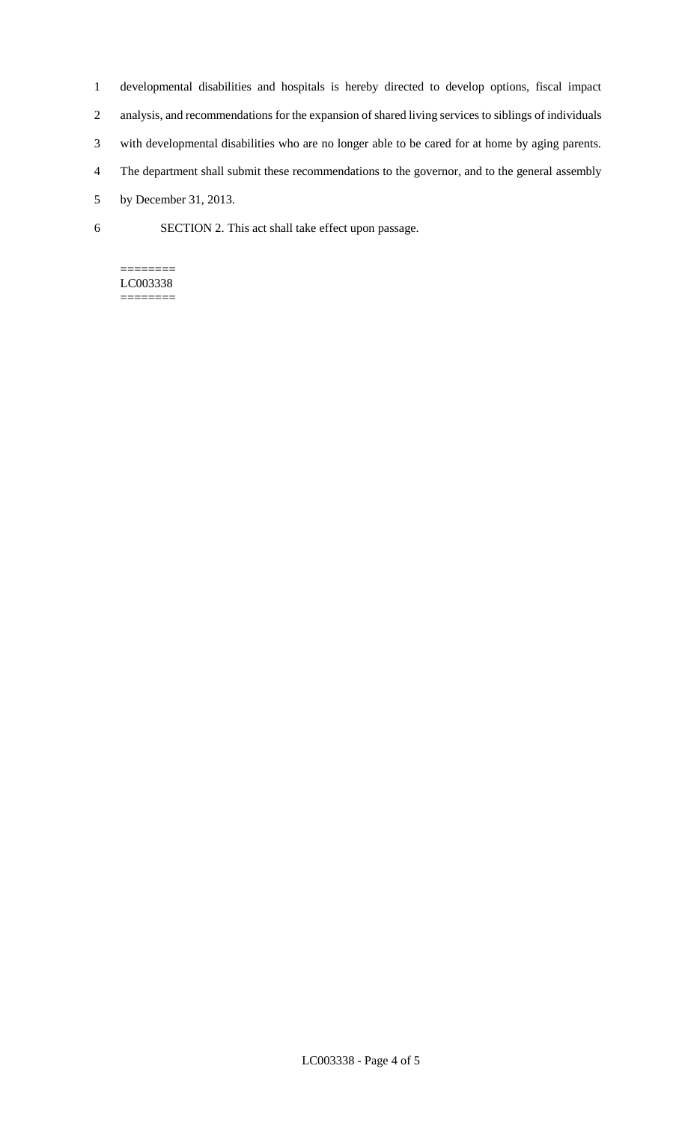- 1 developmental disabilities and hospitals is hereby directed to develop options, fiscal impact
- 2 analysis, and recommendations for the expansion of shared living services to siblings of individuals
- 3 with developmental disabilities who are no longer able to be cared for at home by aging parents.
- 4 The department shall submit these recommendations to the governor, and to the general assembly
- 5 by December 31, 2013.
- 6 SECTION 2. This act shall take effect upon passage.

#### ======== LC003338 ========